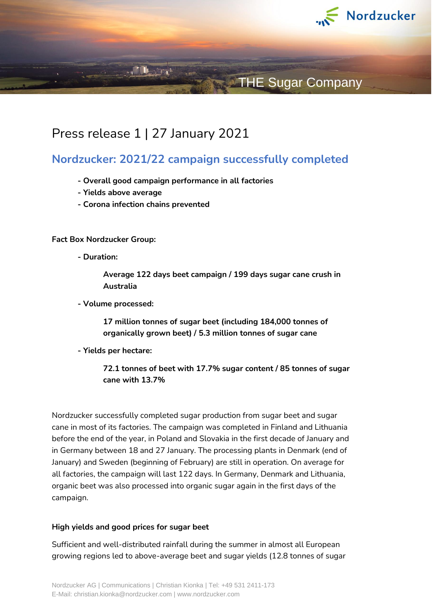

# **THE Sugar Company**

## Press release 1 | 27 January 2021

**The Street** 

## **Nordzucker: 2021/22 campaign successfully completed**

- **- Overall good campaign performance in all factories**
- **- Yields above average**
- **- Corona infection chains prevented**

**Fact Box Nordzucker Group:**

**- Duration:** 

**Average 122 days beet campaign / 199 days sugar cane crush in Australia**

**- Volume processed:** 

**17 million tonnes of sugar beet (including 184,000 tonnes of organically grown beet) / 5.3 million tonnes of sugar cane**

**- Yields per hectare:** 

**72.1 tonnes of beet with 17.7% sugar content / 85 tonnes of sugar cane with 13.7%**

Nordzucker successfully completed sugar production from sugar beet and sugar cane in most of its factories. The campaign was completed in Finland and Lithuania before the end of the year, in Poland and Slovakia in the first decade of January and in Germany between 18 and 27 January. The processing plants in Denmark (end of January) and Sweden (beginning of February) are still in operation. On average for all factories, the campaign will last 122 days. In Germany, Denmark and Lithuania, organic beet was also processed into organic sugar again in the first days of the campaign.

### **High yields and good prices for sugar beet**

Sufficient and well-distributed rainfall during the summer in almost all European growing regions led to above-average beet and sugar yields (12.8 tonnes of sugar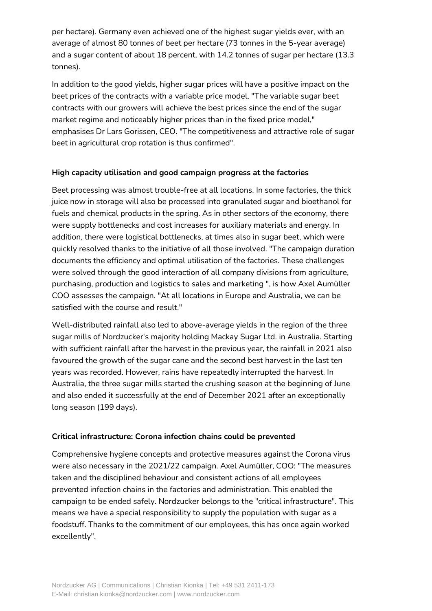per hectare). Germany even achieved one of the highest sugar yields ever, with an average of almost 80 tonnes of beet per hectare (73 tonnes in the 5-year average) and a sugar content of about 18 percent, with 14.2 tonnes of sugar per hectare (13.3 tonnes).

In addition to the good yields, higher sugar prices will have a positive impact on the beet prices of the contracts with a variable price model. "The variable sugar beet contracts with our growers will achieve the best prices since the end of the sugar market regime and noticeably higher prices than in the fixed price model," emphasises Dr Lars Gorissen, CEO. "The competitiveness and attractive role of sugar beet in agricultural crop rotation is thus confirmed".

## **High capacity utilisation and good campaign progress at the factories**

Beet processing was almost trouble-free at all locations. In some factories, the thick juice now in storage will also be processed into granulated sugar and bioethanol for fuels and chemical products in the spring. As in other sectors of the economy, there were supply bottlenecks and cost increases for auxiliary materials and energy. In addition, there were logistical bottlenecks, at times also in sugar beet, which were quickly resolved thanks to the initiative of all those involved. "The campaign duration documents the efficiency and optimal utilisation of the factories. These challenges were solved through the good interaction of all company divisions from agriculture, purchasing, production and logistics to sales and marketing ", is how Axel Aumüller COO assesses the campaign. "At all locations in Europe and Australia, we can be satisfied with the course and result."

Well-distributed rainfall also led to above-average yields in the region of the three sugar mills of Nordzucker's majority holding Mackay Sugar Ltd. in Australia. Starting with sufficient rainfall after the harvest in the previous year, the rainfall in 2021 also favoured the growth of the sugar cane and the second best harvest in the last ten years was recorded. However, rains have repeatedly interrupted the harvest. In Australia, the three sugar mills started the crushing season at the beginning of June and also ended it successfully at the end of December 2021 after an exceptionally long season (199 days).

## **Critical infrastructure: Corona infection chains could be prevented**

Comprehensive hygiene concepts and protective measures against the Corona virus were also necessary in the 2021/22 campaign. Axel Aumüller, COO: "The measures taken and the disciplined behaviour and consistent actions of all employees prevented infection chains in the factories and administration. This enabled the campaign to be ended safely. Nordzucker belongs to the "critical infrastructure". This means we have a special responsibility to supply the population with sugar as a foodstuff. Thanks to the commitment of our employees, this has once again worked excellently".